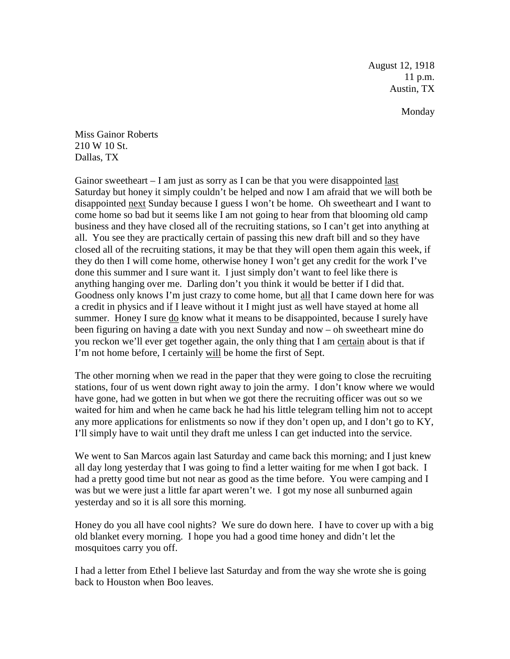August 12, 1918 11 p.m. Austin, TX

Monday

Miss Gainor Roberts 210 W 10 St. Dallas, TX

Gainor sweetheart  $-1$  am just as sorry as I can be that you were disappointed last Saturday but honey it simply couldn't be helped and now I am afraid that we will both be disappointed next Sunday because I guess I won't be home. Oh sweetheart and I want to come home so bad but it seems like I am not going to hear from that blooming old camp business and they have closed all of the recruiting stations, so I can't get into anything at all. You see they are practically certain of passing this new draft bill and so they have closed all of the recruiting stations, it may be that they will open them again this week, if they do then I will come home, otherwise honey I won't get any credit for the work I've done this summer and I sure want it. I just simply don't want to feel like there is anything hanging over me. Darling don't you think it would be better if I did that. Goodness only knows I'm just crazy to come home, but all that I came down here for was a credit in physics and if I leave without it I might just as well have stayed at home all summer. Honey I sure do know what it means to be disappointed, because I surely have been figuring on having a date with you next Sunday and now – oh sweetheart mine do you reckon we'll ever get together again, the only thing that I am certain about is that if I'm not home before, I certainly will be home the first of Sept.

The other morning when we read in the paper that they were going to close the recruiting stations, four of us went down right away to join the army. I don't know where we would have gone, had we gotten in but when we got there the recruiting officer was out so we waited for him and when he came back he had his little telegram telling him not to accept any more applications for enlistments so now if they don't open up, and I don't go to KY, I'll simply have to wait until they draft me unless I can get inducted into the service.

We went to San Marcos again last Saturday and came back this morning; and I just knew all day long yesterday that I was going to find a letter waiting for me when I got back. I had a pretty good time but not near as good as the time before. You were camping and I was but we were just a little far apart weren't we. I got my nose all sunburned again yesterday and so it is all sore this morning.

Honey do you all have cool nights? We sure do down here. I have to cover up with a big old blanket every morning. I hope you had a good time honey and didn't let the mosquitoes carry you off.

I had a letter from Ethel I believe last Saturday and from the way she wrote she is going back to Houston when Boo leaves.